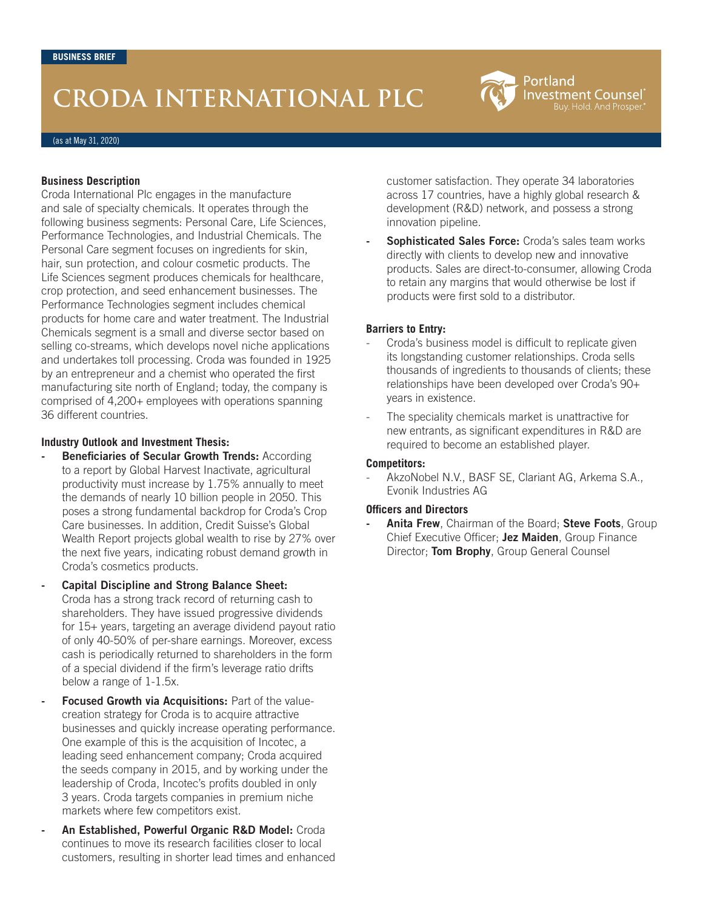## **CRODA INTERNATIONAL PLC**

(as at May 31, 2020)

#### **Business Description**

Croda International Plc engages in the manufacture and sale of specialty chemicals. It operates through the following business segments: Personal Care, Life Sciences, Performance Technologies, and Industrial Chemicals. The Personal Care segment focuses on ingredients for skin, hair, sun protection, and colour cosmetic products. The Life Sciences segment produces chemicals for healthcare, crop protection, and seed enhancement businesses. The Performance Technologies segment includes chemical products for home care and water treatment. The Industrial Chemicals segment is a small and diverse sector based on selling co-streams, which develops novel niche applications and undertakes toll processing. Croda was founded in 1925 by an entrepreneur and a chemist who operated the first manufacturing site north of England; today, the company is comprised of 4,200+ employees with operations spanning 36 different countries.

#### **Industry Outlook and Investment Thesis:**

- **- Beneficiaries of Secular Growth Trends:** According to a report by Global Harvest Inactivate, agricultural productivity must increase by 1.75% annually to meet the demands of nearly 10 billion people in 2050. This poses a strong fundamental backdrop for Croda's Crop Care businesses. In addition, Credit Suisse's Global Wealth Report projects global wealth to rise by 27% over the next five years, indicating robust demand growth in Croda's cosmetics products.
- **- Capital Discipline and Strong Balance Sheet:** Croda has a strong track record of returning cash to shareholders. They have issued progressive dividends for 15+ years, targeting an average dividend payout ratio of only 40-50% of per-share earnings. Moreover, excess cash is periodically returned to shareholders in the form of a special dividend if the firm's leverage ratio drifts below a range of 1-1.5x.
- **- Focused Growth via Acquisitions:** Part of the valuecreation strategy for Croda is to acquire attractive businesses and quickly increase operating performance. One example of this is the acquisition of Incotec, a leading seed enhancement company; Croda acquired the seeds company in 2015, and by working under the leadership of Croda, Incotec's profits doubled in only 3 years. Croda targets companies in premium niche markets where few competitors exist.
- **- An Established, Powerful Organic R&D Model:** Croda continues to move its research facilities closer to local customers, resulting in shorter lead times and enhanced

customer satisfaction. They operate 34 laboratories across 17 countries, have a highly global research & development (R&D) network, and possess a strong innovation pipeline.

Portland

**Investment Counsel** uy. Hold. And Prosper

**- Sophisticated Sales Force:** Croda's sales team works directly with clients to develop new and innovative products. Sales are direct-to-consumer, allowing Croda to retain any margins that would otherwise be lost if products were first sold to a distributor.

#### **Barriers to Entry:**

- Croda's business model is difficult to replicate given its longstanding customer relationships. Croda sells thousands of ingredients to thousands of clients; these relationships have been developed over Croda's 90+ years in existence.
- The speciality chemicals market is unattractive for new entrants, as significant expenditures in R&D are required to become an established player.

#### **Competitors:**

AkzoNobel N.V., BASF SE, Clariant AG, Arkema S.A., Evonik Industries AG

#### **Officers and Directors**

**- Anita Frew**, Chairman of the Board; **Steve Foots**, Group Chief Executive Officer; **Jez Maiden**, Group Finance Director; **Tom Brophy**, Group General Counsel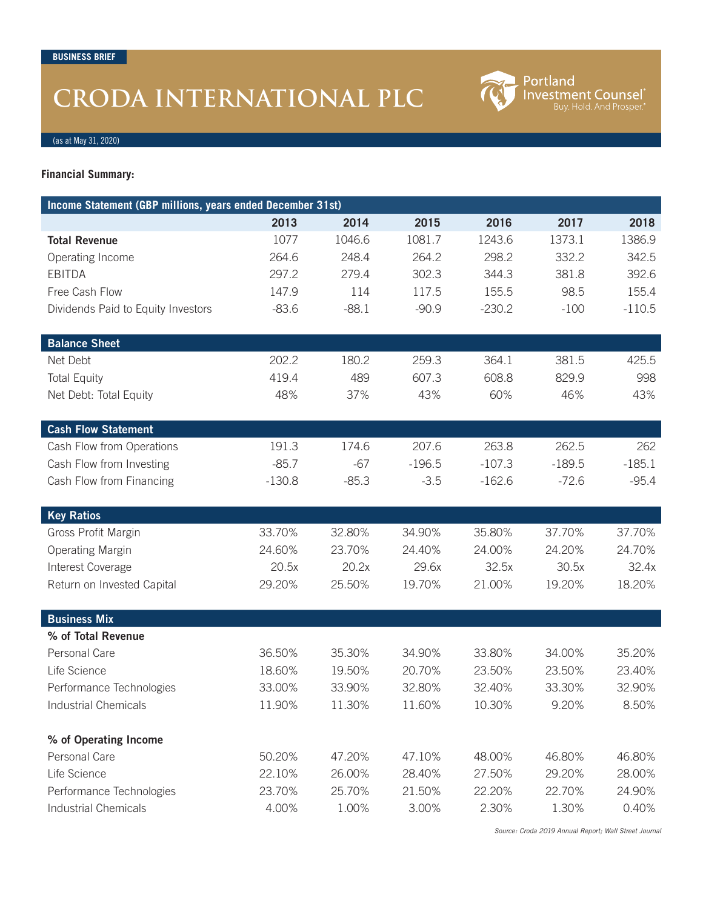# **CRODA INTERNATIONAL PLC**

**Portland<br>Investment Counsel**<sup>®</sup><br>Buy. Hold. And Prosper.<sup>®</sup>

(as at May 31, 2020)

**Financial Summary:**

| Income Statement (GBP millions, years ended December 31st) |                  |         |                  |          |          |          |
|------------------------------------------------------------|------------------|---------|------------------|----------|----------|----------|
|                                                            | 2013             | 2014    | 2015             | 2016     | 2017     | 2018     |
| <b>Total Revenue</b>                                       | 1077             | 1046.6  | 1081.7           | 1243.6   | 1373.1   | 1386.9   |
| Operating Income                                           | 264.6            | 248.4   | 264.2            | 298.2    | 332.2    | 342.5    |
| <b>EBITDA</b>                                              | 297.2            | 279.4   | 302.3            | 344.3    | 381.8    | 392.6    |
| Free Cash Flow                                             | 147.9            | 114     | 117.5            | 155.5    | 98.5     | 155.4    |
| Dividends Paid to Equity Investors                         | $-83.6$          | $-88.1$ | $-90.9$          | $-230.2$ | $-100$   | $-110.5$ |
|                                                            |                  |         |                  |          |          |          |
| <b>Balance Sheet</b>                                       |                  |         |                  |          |          |          |
| Net Debt                                                   | 202.2            | 180.2   | 259.3            | 364.1    | 381.5    | 425.5    |
| <b>Total Equity</b>                                        | 419.4            | 489     | 607.3            | 608.8    | 829.9    | 998      |
| Net Debt: Total Equity                                     | 48%              | 37%     | 43%              | 60%      | 46%      | 43%      |
|                                                            |                  |         |                  |          |          |          |
| <b>Cash Flow Statement</b>                                 |                  |         |                  |          |          |          |
| Cash Flow from Operations                                  | 191.3            | 174.6   | 207.6            | 263.8    | 262.5    | 262      |
| Cash Flow from Investing                                   | $-85.7$          | $-67$   | $-196.5$         | $-107.3$ | $-189.5$ | $-185.1$ |
| Cash Flow from Financing                                   | $-130.8$         | $-85.3$ | $-3.5$           | $-162.6$ | $-72.6$  | $-95.4$  |
|                                                            |                  |         |                  |          |          |          |
| <b>Key Ratios</b>                                          |                  |         |                  |          |          |          |
| Gross Profit Margin                                        | 33.70%           | 32.80%  | 34.90%           | 35.80%   | 37.70%   | 37.70%   |
| <b>Operating Margin</b>                                    | 24.60%           | 23.70%  | 24.40%           | 24.00%   | 24.20%   | 24.70%   |
| Interest Coverage                                          | 20.5x            | 20.2x   | 29.6x            | 32.5x    | 30.5x    | 32.4x    |
| Return on Invested Capital                                 | 29.20%           | 25.50%  | 19.70%           | 21.00%   | 19.20%   | 18.20%   |
|                                                            |                  |         |                  |          |          |          |
| <b>Business Mix</b>                                        |                  |         |                  |          |          |          |
| % of Total Revenue                                         |                  |         |                  | 33.80%   |          |          |
| Personal Care<br>Life Science                              | 36.50%           | 35.30%  | 34.90%<br>20.70% |          | 34.00%   | 35.20%   |
|                                                            | 18.60%<br>33.00% | 19.50%  |                  | 23.50%   | 23.50%   | 23.40%   |
| Performance Technologies                                   |                  | 33.90%  | 32.80%           | 32.40%   | 33.30%   | 32.90%   |
| Industrial Chemicals                                       | 11.90%           | 11.30%  | 11.60%           | 10.30%   | 9.20%    | 8.50%    |
| % of Operating Income                                      |                  |         |                  |          |          |          |
| Personal Care                                              | 50.20%           | 47.20%  | 47.10%           | 48.00%   | 46.80%   | 46.80%   |
| Life Science                                               | 22.10%           | 26.00%  | 28.40%           | 27.50%   | 29.20%   | 28.00%   |
| Performance Technologies                                   | 23.70%           | 25.70%  | 21.50%           | 22.20%   | 22.70%   | 24.90%   |
| <b>Industrial Chemicals</b>                                | 4.00%            | 1.00%   | 3.00%            | 2.30%    | 1.30%    | 0.40%    |

*Source: Croda 2019 Annual Report; Wall Street Journal*